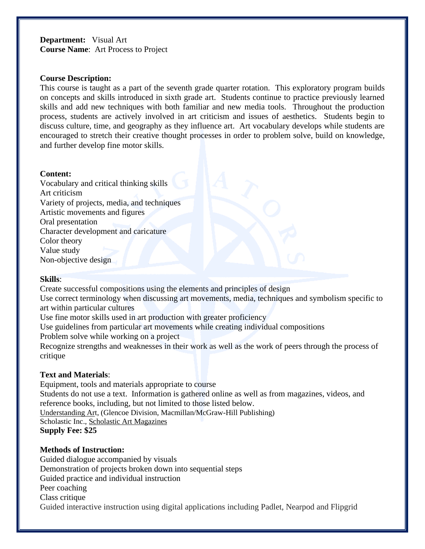**Department:** Visual Art **Course Name**: Art Process to Project

#### **Course Description:**

This course is taught as a part of the seventh grade quarter rotation. This exploratory program builds on concepts and skills introduced in sixth grade art. Students continue to practice previously learned skills and add new techniques with both familiar and new media tools. Throughout the production process, students are actively involved in art criticism and issues of aesthetics. Students begin to discuss culture, time, and geography as they influence art. Art vocabulary develops while students are encouraged to stretch their creative thought processes in order to problem solve, build on knowledge, and further develop fine motor skills.

#### **Content:**

Vocabulary and critical thinking skills Art criticism Variety of projects, media, and techniques Artistic movements and figures Oral presentation Character development and caricature Color theory Value study Non-objective design

## **Skills**:

Create successful compositions using the elements and principles of design

Use correct terminology when discussing art movements, media, techniques and symbolism specific to art within particular cultures

Use fine motor skills used in art production with greater proficiency

Use guidelines from particular art movements while creating individual compositions

Problem solve while working on a project

Recognize strengths and weaknesses in their work as well as the work of peers through the process of critique

## **Text and Materials**:

Equipment, tools and materials appropriate to course Students do not use a text. Information is gathered online as well as from magazines, videos, and reference books, including, but not limited to those listed below. Understanding Art, (Glencoe Division, Macmillan/McGraw-Hill Publishing) Scholastic Inc., Scholastic Art Magazines **Supply Fee: \$25**

## **Methods of Instruction:**

Guided dialogue accompanied by visuals Demonstration of projects broken down into sequential steps Guided practice and individual instruction Peer coaching Class critique Guided interactive instruction using digital applications including Padlet, Nearpod and Flipgrid